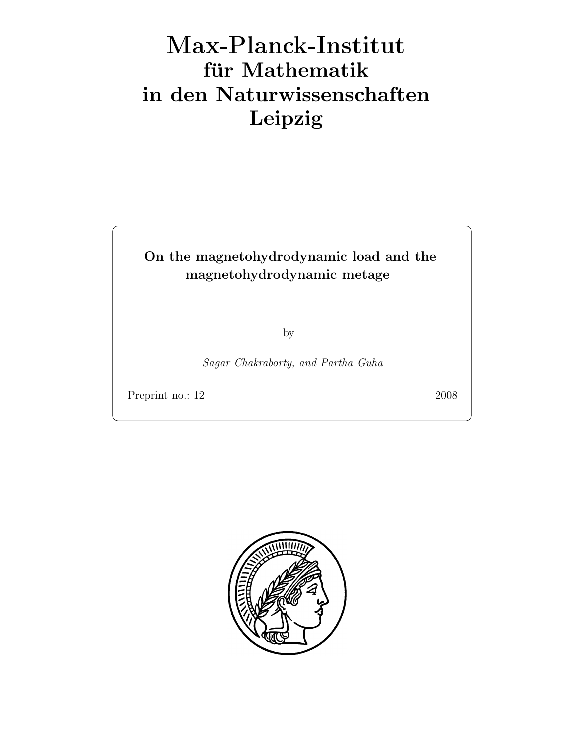# Max-Plan
k-Institut für Mathematik in den Naturwissenschaften Leipzig

### On the magnetohydrodynamic load and the magnetohydrodynamic metage

by

Sagar Chakraborty, and Partha Guha

Preprint no.: 12 2008

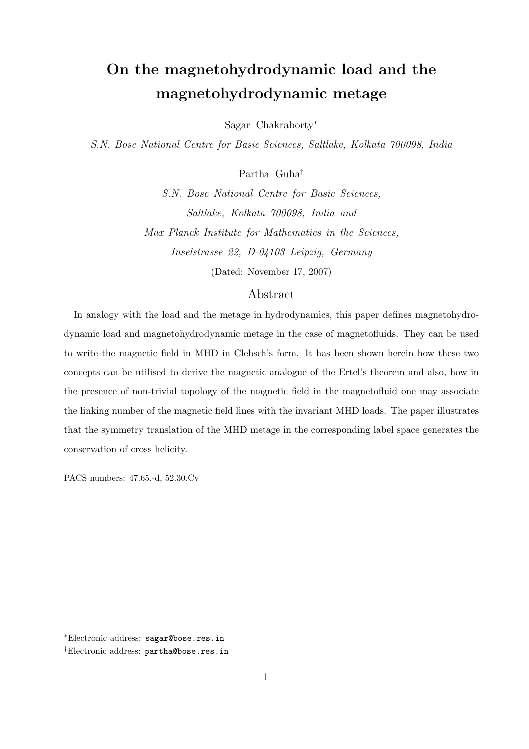## On the magnetohydrodynamic load and the magnetohydrodynamic metage

Sagar Chakraborty<sup>∗</sup>

S.N. Bose National Centre for Basic Sciences, Saltlake, Kolkata 700098, India

Partha Guha†

S.N. Bose National Centre for Basic Sciences, Saltlake, Kolkata 700098, India and Max Planck Institute for Mathematics in the Sciences, Inselstrasse 22, D-04103 Leipzig, Germany (Dated: November 17, 2007)

#### Abstract

In analogy with the load and the metage in hydrodynamics, this paper defines magnetohydrodynamic load and magnetohydrodynamic metage in the case of magnetofluids. They can be used to write the magnetic field in MHD in Clebsch's form. It has been shown herein how these two concepts can be utilised to derive the magnetic analogue of the Ertel's theorem and also, how in the presence of non-trivial topology of the magnetic field in the magnetofluid one may associate the linking number of the magnetic field lines with the invariant MHD loads. The paper illustrates that the symmetry translation of the MHD metage in the corresponding label space generates the conservation of cross helicity.

PACS numbers: 47.65.-d, 52.30.Cv

<sup>∗</sup>Electronic address: sagar@bose.res.in

<sup>†</sup>Electronic address: partha@bose.res.in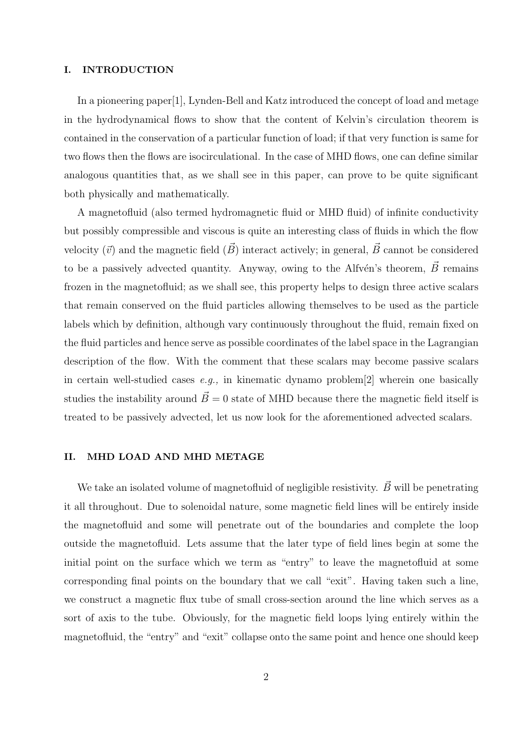#### I. INTRODUCTION

In a pioneering paper[1], Lynden-Bell and Katz introduced the concept of load and metage in the hydrodynamical flows to show that the content of Kelvin's circulation theorem is contained in the conservation of a particular function of load; if that very function is same for two flows then the flows are isocirculational. In the case of MHD flows, one can define similar analogous quantities that, as we shall see in this paper, can prove to be quite significant both physically and mathematically.

A magnetofluid (also termed hydromagnetic fluid or MHD fluid) of infinite conductivity but possibly compressible and viscous is quite an interesting class of fluids in which the flow velocity  $(\vec{v})$  and the magnetic field  $(\vec{B})$  interact actively; in general,  $\vec{B}$  cannot be considered to be a passively advected quantity. Anyway, owing to the Alfvén's theorem,  $\vec{B}$  remains frozen in the magnetofluid; as we shall see, this property helps to design three active scalars that remain conserved on the fluid particles allowing themselves to be used as the particle labels which by definition, although vary continuously throughout the fluid, remain fixed on the fluid particles and hence serve as possible coordinates of the label space in the Lagrangian description of the flow. With the comment that these scalars may become passive scalars in certain well-studied cases  $e.g.,$  in kinematic dynamo problem[2] wherein one basically studies the instability around  $\vec{B} = 0$  state of MHD because there the magnetic field itself is treated to be passively advected, let us now look for the aforementioned advected scalars.

#### II. MHD LOAD AND MHD METAGE

We take an isolated volume of magnetofluid of negligible resistivity.  $\vec{B}$  will be penetrating it all throughout. Due to solenoidal nature, some magnetic field lines will be entirely inside the magnetofluid and some will penetrate out of the boundaries and complete the loop outside the magnetofluid. Lets assume that the later type of field lines begin at some the initial point on the surface which we term as "entry" to leave the magnetofluid at some corresponding final points on the boundary that we call "exit". Having taken such a line, we construct a magnetic flux tube of small cross-section around the line which serves as a sort of axis to the tube. Obviously, for the magnetic field loops lying entirely within the magnetofluid, the "entry" and "exit" collapse onto the same point and hence one should keep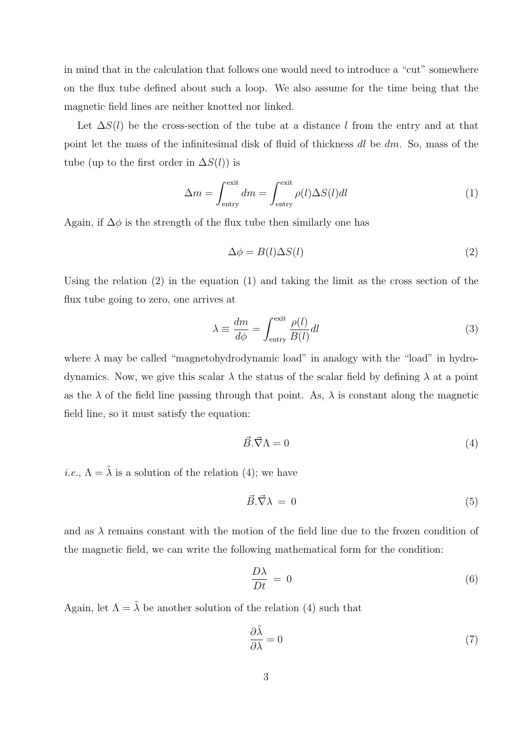in mind that in the calculation that follows one would need to introduce a "cut" somewhere on the flux tube defined about such a loop. We also assume for the time being that the magnetic field lines are neither knotted nor linked.

Let  $\Delta S(l)$  be the cross-section of the tube at a distance l from the entry and at that point let the mass of the infinitesimal disk of fluid of thickness  $dl$  be  $dm$ . So, mass of the tube (up to the first order in  $\Delta S(l)$ ) is

$$
\Delta m = \int_{\text{entry}}^{\text{exit}} dm = \int_{\text{entry}}^{\text{exit}} \rho(l) \Delta S(l) dl
$$
 (1)

Again, if  $\Delta \phi$  is the strength of the flux tube then similarly one has

$$
\Delta \phi = B(l) \Delta S(l) \tag{2}
$$

Using the relation  $(2)$  in the equation  $(1)$  and taking the limit as the cross section of the flux tube going to zero, one arrives at

$$
\lambda \equiv \frac{dm}{d\phi} = \int_{\text{entry}}^{\text{exit}} \frac{\rho(l)}{B(l)} dl
$$
\n(3)

where  $\lambda$  may be called "magnetohydrodynamic load" in analogy with the "load" in hydrodynamics. Now, we give this scalar  $\lambda$  the status of the scalar field by defining  $\lambda$  at a point as the  $\lambda$  of the field line passing through that point. As,  $\lambda$  is constant along the magnetic field line, so it must satisfy the equation:

$$
\vec{B} \cdot \vec{\nabla} \Lambda = 0 \tag{4}
$$

*i.e.*,  $\Lambda = \tilde{\lambda}$  is a solution of the relation (4); we have

$$
\vec{B} \cdot \vec{\nabla} \lambda = 0 \tag{5}
$$

and as  $\lambda$  remains constant with the motion of the field line due to the frozen condition of the magnetic field, we can write the following mathematical form for the condition:

$$
\frac{D\lambda}{Dt} = 0\tag{6}
$$

Again, let  $\Lambda = \tilde{\lambda}$  be another solution of the relation (4) such that

$$
\frac{\partial \tilde{\lambda}}{\partial \lambda} = 0 \tag{7}
$$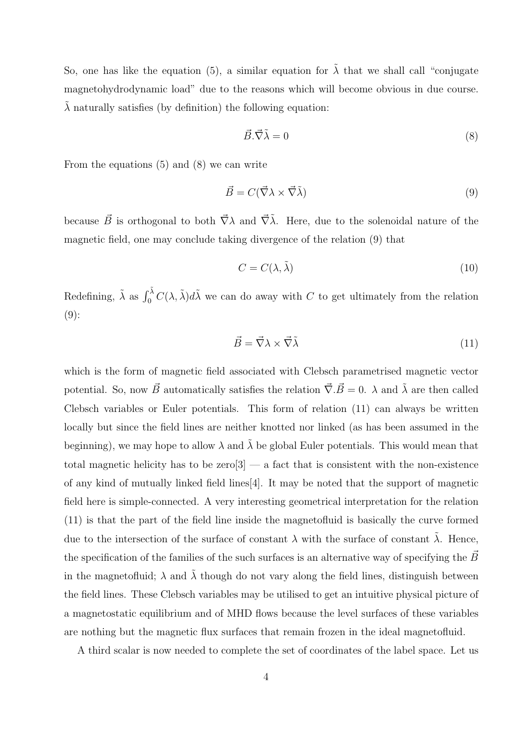So, one has like the equation (5), a similar equation for  $\tilde{\lambda}$  that we shall call "conjugate" magnetohydrodynamic load" due to the reasons which will become obvious in due course.  $\lambda$  naturally satisfies (by definition) the following equation:

$$
\vec{B} \cdot \vec{\nabla} \tilde{\lambda} = 0 \tag{8}
$$

From the equations (5) and (8) we can write

$$
\vec{B} = C(\vec{\nabla}\lambda \times \vec{\nabla}\tilde{\lambda})\tag{9}
$$

because  $\vec{B}$  is orthogonal to both  $\vec{\nabla}\lambda$  and  $\vec{\nabla}\lambda$ . Here, due to the solenoidal nature of the magnetic field, one may conclude taking divergence of the relation (9) that

$$
C = C(\lambda, \tilde{\lambda}) \tag{10}
$$

Redefining,  $\tilde{\lambda}$  as  $\int_0^{\tilde{\lambda}} C(\lambda, \tilde{\lambda}) d\tilde{\lambda}$  we can do away with C to get ultimately from the relation  $(9)$ :

$$
\vec{B} = \vec{\nabla}\lambda \times \vec{\nabla}\tilde{\lambda} \tag{11}
$$

which is the form of magnetic field associated with Clebsch parametrised magnetic vector potential. So, now  $\vec{B}$  automatically satisfies the relation  $\vec{\nabla} \cdot \vec{B} = 0$ .  $\lambda$  and  $\tilde{\lambda}$  are then called Clebsch variables or Euler potentials. This form of relation (11) can always be written locally but since the field lines are neither knotted nor linked (as has been assumed in the beginning), we may hope to allow  $\lambda$  and  $\tilde{\lambda}$  be global Euler potentials. This would mean that total magnetic helicity has to be  $\text{zero}[3]$  — a fact that is consistent with the non-existence of any kind of mutually linked field lines[4]. It may be noted that the support of magnetic field here is simple-connected. A very interesting geometrical interpretation for the relation (11) is that the part of the field line inside the magnetofluid is basically the curve formed due to the intersection of the surface of constant  $\lambda$  with the surface of constant  $\tilde{\lambda}$ . Hence, the specification of the families of the such surfaces is an alternative way of specifying the  $\vec{B}$ in the magnetofluid;  $\lambda$  and  $\lambda$  though do not vary along the field lines, distinguish between the field lines. These Clebsch variables may be utilised to get an intuitive physical picture of a magnetostatic equilibrium and of MHD flows because the level surfaces of these variables are nothing but the magnetic flux surfaces that remain frozen in the ideal magnetofluid.

A third scalar is now needed to complete the set of coordinates of the label space. Let us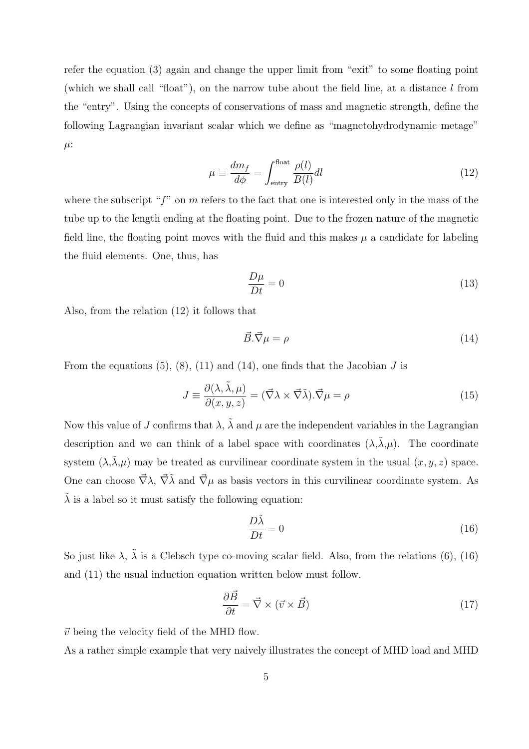refer the equation (3) again and change the upper limit from "exit" to some floating point (which we shall call "float"), on the narrow tube about the field line, at a distance  $l$  from the "entry". Using the concepts of conservations of mass and magnetic strength, define the following Lagrangian invariant scalar which we define as "magnetohydrodynamic metage"  $\mu$ :

$$
\mu \equiv \frac{dm_f}{d\phi} = \int_{\text{entry}}^{\text{float}} \frac{\rho(l)}{B(l)} dl \tag{12}
$$

where the subscript " $f$ " on m refers to the fact that one is interested only in the mass of the tube up to the length ending at the floating point. Due to the frozen nature of the magnetic field line, the floating point moves with the fluid and this makes  $\mu$  a candidate for labeling the fluid elements. One, thus, has

$$
\frac{D\mu}{Dt} = 0\tag{13}
$$

Also, from the relation (12) it follows that

$$
\vec{B}.\vec{\nabla}\mu = \rho \tag{14}
$$

From the equations  $(5)$ ,  $(8)$ ,  $(11)$  and  $(14)$ , one finds that the Jacobian J is

$$
J \equiv \frac{\partial(\lambda, \tilde{\lambda}, \mu)}{\partial(x, y, z)} = (\vec{\nabla}\lambda \times \vec{\nabla}\tilde{\lambda}) \cdot \vec{\nabla}\mu = \rho
$$
\n(15)

Now this value of J confirms that  $\lambda$ ,  $\tilde{\lambda}$  and  $\mu$  are the independent variables in the Lagrangian description and we can think of a label space with coordinates  $(\lambda, \tilde{\lambda}, \mu)$ . The coordinate system  $(\lambda, \lambda, \mu)$  may be treated as curvilinear coordinate system in the usual  $(x, y, z)$  space. One can choose  $\vec{\nabla}\lambda$ ,  $\vec{\nabla}\lambda$  and  $\vec{\nabla}\mu$  as basis vectors in this curvilinear coordinate system. As  $\tilde{\lambda}$  is a label so it must satisfy the following equation:

$$
\frac{D\tilde{\lambda}}{Dt} = 0\tag{16}
$$

So just like  $\lambda$ ,  $\tilde{\lambda}$  is a Clebsch type co-moving scalar field. Also, from the relations (6), (16) and (11) the usual induction equation written below must follow.

$$
\frac{\partial \vec{B}}{\partial t} = \vec{\nabla} \times (\vec{v} \times \vec{B}) \tag{17}
$$

 $\vec{v}$  being the velocity field of the MHD flow.

As a rather simple example that very naively illustrates the concept of MHD load and MHD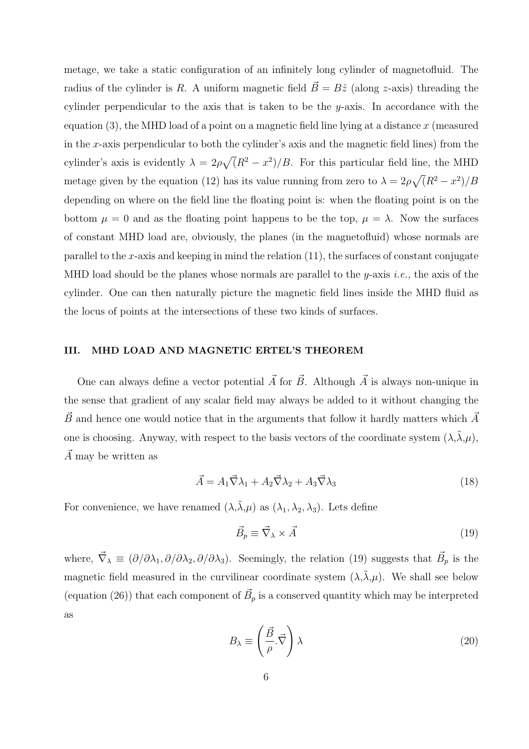metage, we take a static configuration of an infinitely long cylinder of magnetofluid. The radius of the cylinder is R. A uniform magnetic field  $\vec{B} = B\hat{z}$  (along z-axis) threading the cylinder perpendicular to the axis that is taken to be the y-axis. In accordance with the equation  $(3)$ , the MHD load of a point on a magnetic field line lying at a distance x (measured in the x-axis perpendicular to both the cylinder's axis and the magnetic field lines) from the cylinder's axis is evidently  $\lambda = 2\rho\sqrt{(R^2 - x^2)/B}$ . For this particular field line, the MHD metage given by the equation (12) has its value running from zero to  $\lambda = 2\rho\sqrt{(R^2 - x^2)/B}$ depending on where on the field line the floating point is: when the floating point is on the bottom  $\mu = 0$  and as the floating point happens to be the top,  $\mu = \lambda$ . Now the surfaces of constant MHD load are, obviously, the planes (in the magnetofluid) whose normals are parallel to the x-axis and keeping in mind the relation  $(11)$ , the surfaces of constant conjugate MHD load should be the planes whose normals are parallel to the  $y$ -axis i.e., the axis of the cylinder. One can then naturally picture the magnetic field lines inside the MHD fluid as the locus of points at the intersections of these two kinds of surfaces.

#### III. MHD LOAD AND MAGNETIC ERTEL'S THEOREM

One can always define a vector potential  $\vec{A}$  for  $\vec{B}$ . Although  $\vec{A}$  is always non-unique in the sense that gradient of any scalar field may always be added to it without changing the  $\vec{B}$  and hence one would notice that in the arguments that follow it hardly matters which  $\vec{A}$ one is choosing. Anyway, with respect to the basis vectors of the coordinate system  $(\lambda, \tilde{\lambda}, \mu)$ ,  $\overrightarrow{A}$  may be written as

$$
\vec{A} = A_1 \vec{\nabla} \lambda_1 + A_2 \vec{\nabla} \lambda_2 + A_3 \vec{\nabla} \lambda_3 \tag{18}
$$

For convenience, we have renamed  $(\lambda, \tilde{\lambda}, \mu)$  as  $(\lambda_1, \lambda_2, \lambda_3)$ . Lets define

$$
\vec{B}_p \equiv \vec{\nabla}_{\lambda} \times \vec{A} \tag{19}
$$

where,  $\vec{\nabla}_{\lambda} \equiv (\partial/\partial \lambda_1, \partial/\partial \lambda_2, \partial/\partial \lambda_3)$ . Seemingly, the relation (19) suggests that  $\vec{B}_p$  is the magnetic field measured in the curvilinear coordinate system  $(\lambda, \tilde{\lambda}, \mu)$ . We shall see below (equation (26)) that each component of  $\vec{B}_p$  is a conserved quantity which may be interpreted as

$$
B_{\lambda} \equiv \left(\frac{\vec{B}}{\rho} \cdot \vec{\nabla}\right) \lambda \tag{20}
$$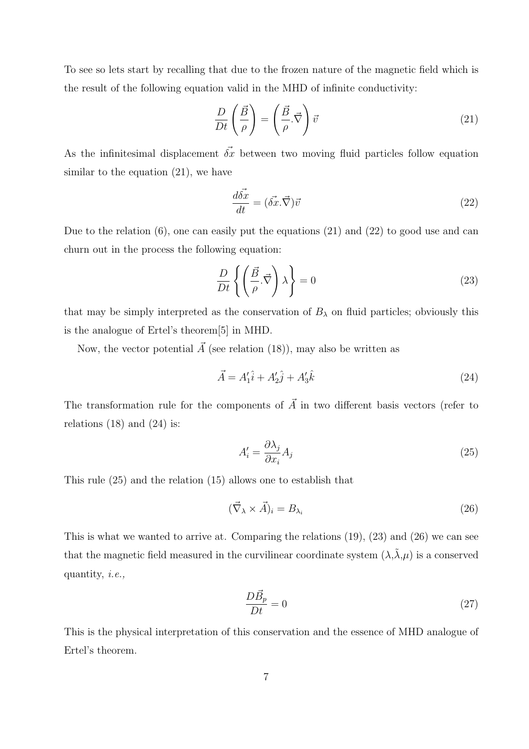To see so lets start by recalling that due to the frozen nature of the magnetic field which is the result of the following equation valid in the MHD of infinite conductivity:

$$
\frac{D}{Dt}\left(\frac{\vec{B}}{\rho}\right) = \left(\frac{\vec{B}}{\rho}.\vec{\nabla}\right)\vec{v}
$$
\n(21)

As the infinitesimal displacement  $\vec{\delta x}$  between two moving fluid particles follow equation similar to the equation  $(21)$ , we have

$$
\frac{d\vec{\delta x}}{dt} = (\vec{\delta x}.\vec{\nabla})\vec{v}
$$
\n(22)

Due to the relation (6), one can easily put the equations (21) and (22) to good use and can churn out in the process the following equation:

$$
\frac{D}{Dt}\left\{ \left(\frac{\vec{B}}{\rho}.\vec{\nabla}\right)\lambda\right\} = 0\tag{23}
$$

that may be simply interpreted as the conservation of  $B_\lambda$  on fluid particles; obviously this is the analogue of Ertel's theorem[5] in MHD.

Now, the vector potential  $\vec{A}$  (see relation (18)), may also be written as

$$
\vec{A} = A_1'\hat{i} + A_2'\hat{j} + A_3'\hat{k}
$$
 (24)

The transformation rule for the components of  $\vec{A}$  in two different basis vectors (refer to relations  $(18)$  and  $(24)$  is:

$$
A_i' = \frac{\partial \lambda_j}{\partial x_i} A_j \tag{25}
$$

This rule (25) and the relation (15) allows one to establish that

$$
(\vec{\nabla}_{\lambda} \times \vec{A})_i = B_{\lambda_i} \tag{26}
$$

This is what we wanted to arrive at. Comparing the relations (19), (23) and (26) we can see that the magnetic field measured in the curvilinear coordinate system  $(\lambda, \tilde{\lambda}, \mu)$  is a conserved quantity, i.e.,

$$
\frac{D\vec{B}_p}{Dt} = 0\tag{27}
$$

This is the physical interpretation of this conservation and the essence of MHD analogue of Ertel's theorem.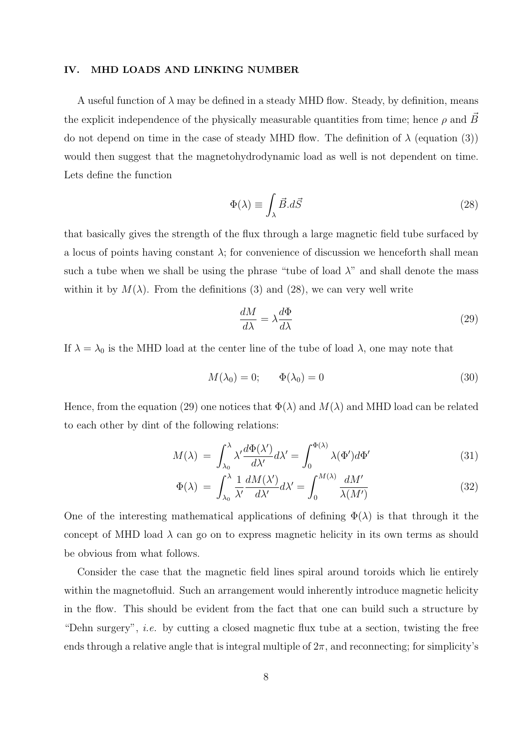#### IV. MHD LOADS AND LINKING NUMBER

A useful function of  $\lambda$  may be defined in a steady MHD flow. Steady, by definition, means the explicit independence of the physically measurable quantities from time; hence  $\rho$  and B~ do not depend on time in the case of steady MHD flow. The definition of  $\lambda$  (equation (3)) would then suggest that the magnetohydrodynamic load as well is not dependent on time. Lets define the function

$$
\Phi(\lambda) \equiv \int_{\lambda} \vec{B} \cdot d\vec{S} \tag{28}
$$

that basically gives the strength of the flux through a large magnetic field tube surfaced by a locus of points having constant  $\lambda$ ; for convenience of discussion we henceforth shall mean such a tube when we shall be using the phrase "tube of load  $\lambda$ " and shall denote the mass within it by  $M(\lambda)$ . From the definitions (3) and (28), we can very well write

$$
\frac{dM}{d\lambda} = \lambda \frac{d\Phi}{d\lambda} \tag{29}
$$

If  $\lambda = \lambda_0$  is the MHD load at the center line of the tube of load  $\lambda$ , one may note that

$$
M(\lambda_0) = 0; \qquad \Phi(\lambda_0) = 0 \tag{30}
$$

Hence, from the equation (29) one notices that  $\Phi(\lambda)$  and  $M(\lambda)$  and MHD load can be related to each other by dint of the following relations:

$$
M(\lambda) = \int_{\lambda_0}^{\lambda} \lambda' \frac{d\Phi(\lambda')}{d\lambda'} d\lambda' = \int_0^{\Phi(\lambda)} \lambda(\Phi') d\Phi' \tag{31}
$$

$$
\Phi(\lambda) = \int_{\lambda_0}^{\lambda} \frac{1}{\lambda'} \frac{dM(\lambda')}{d\lambda'} d\lambda' = \int_0^{M(\lambda)} \frac{dM'}{\lambda(M')}
$$
\n(32)

One of the interesting mathematical applications of defining  $\Phi(\lambda)$  is that through it the concept of MHD load  $\lambda$  can go on to express magnetic helicity in its own terms as should be obvious from what follows.

Consider the case that the magnetic field lines spiral around toroids which lie entirely within the magnetofluid. Such an arrangement would inherently introduce magnetic helicity in the flow. This should be evident from the fact that one can build such a structure by "Dehn surgery", *i.e.* by cutting a closed magnetic flux tube at a section, twisting the free ends through a relative angle that is integral multiple of  $2\pi$ , and reconnecting; for simplicity's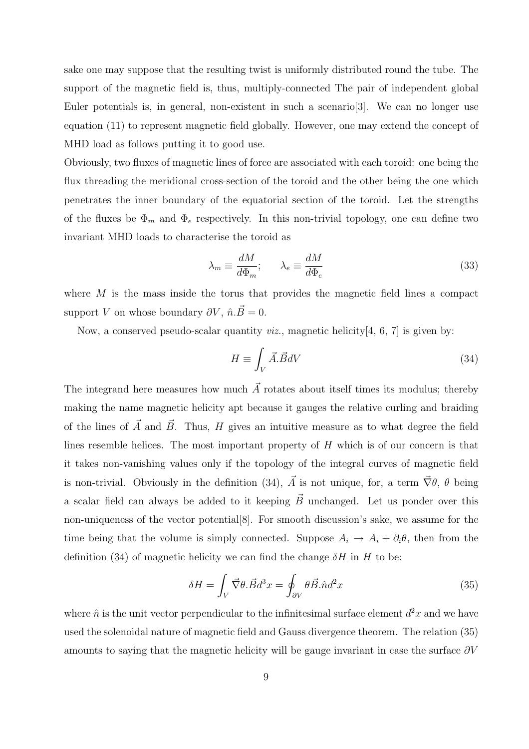sake one may suppose that the resulting twist is uniformly distributed round the tube. The support of the magnetic field is, thus, multiply-connected The pair of independent global Euler potentials is, in general, non-existent in such a scenario[3]. We can no longer use equation (11) to represent magnetic field globally. However, one may extend the concept of MHD load as follows putting it to good use.

Obviously, two fluxes of magnetic lines of force are associated with each toroid: one being the flux threading the meridional cross-section of the toroid and the other being the one which penetrates the inner boundary of the equatorial section of the toroid. Let the strengths of the fluxes be  $\Phi_m$  and  $\Phi_e$  respectively. In this non-trivial topology, one can define two invariant MHD loads to characterise the toroid as

$$
\lambda_m \equiv \frac{dM}{d\Phi_m}; \qquad \lambda_e \equiv \frac{dM}{d\Phi_e} \tag{33}
$$

where  $M$  is the mass inside the torus that provides the magnetic field lines a compact support V on whose boundary  $\partial V$ ,  $\hat{n}.\vec{B}=0$ .

Now, a conserved pseudo-scalar quantity *viz.*, magnetic helicity $[4, 6, 7]$  is given by:

$$
H \equiv \int_{V} \vec{A} \cdot \vec{B} dV \tag{34}
$$

The integrand here measures how much  $\vec{A}$  rotates about itself times its modulus; thereby making the name magnetic helicity apt because it gauges the relative curling and braiding of the lines of  $\vec{A}$  and  $\vec{B}$ . Thus, H gives an intuitive measure as to what degree the field lines resemble helices. The most important property of H which is of our concern is that it takes non-vanishing values only if the topology of the integral curves of magnetic field is non-trivial. Obviously in the definition (34),  $\vec{A}$  is not unique, for, a term  $\vec{\nabla}\theta$ ,  $\theta$  being a scalar field can always be added to it keeping  $\vec{B}$  unchanged. Let us ponder over this non-uniqueness of the vector potential[8]. For smooth discussion's sake, we assume for the time being that the volume is simply connected. Suppose  $A_i \rightarrow A_i + \partial_i \theta$ , then from the definition (34) of magnetic helicity we can find the change  $\delta H$  in H to be:

$$
\delta H = \int_{V} \vec{\nabla} \theta. \vec{B} d^3 x = \oint_{\partial V} \theta \vec{B} . \hat{n} d^2 x \tag{35}
$$

where  $\hat{n}$  is the unit vector perpendicular to the infinitesimal surface element  $d^2x$  and we have used the solenoidal nature of magnetic field and Gauss divergence theorem. The relation (35) amounts to saying that the magnetic helicity will be gauge invariant in case the surface  $\partial V$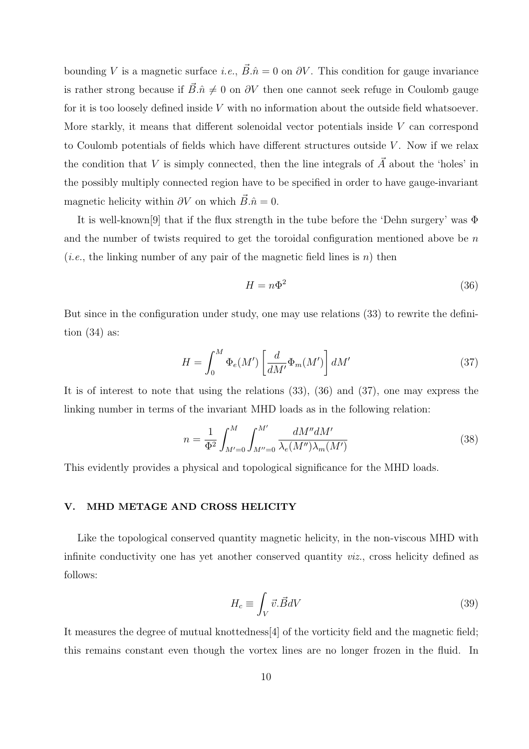bounding V is a magnetic surface *i.e.*,  $\vec{B} \cdot \hat{n} = 0$  on  $\partial V$ . This condition for gauge invariance is rather strong because if  $\vec{B}.\hat{n} \neq 0$  on  $\partial V$  then one cannot seek refuge in Coulomb gauge for it is too loosely defined inside  $V$  with no information about the outside field whatsoever. More starkly, it means that different solenoidal vector potentials inside  $V$  can correspond to Coulomb potentials of fields which have different structures outside  $V$ . Now if we relax the condition that V is simply connected, then the line integrals of  $\vec{A}$  about the 'holes' in the possibly multiply connected region have to be specified in order to have gauge-invariant magnetic helicity within  $\partial V$  on which  $\vec{B} \cdot \hat{n} = 0$ .

It is well-known[9] that if the flux strength in the tube before the 'Dehn surgery' was Φ and the number of twists required to get the toroidal configuration mentioned above be n (*i.e.*, the linking number of any pair of the magnetic field lines is  $n$ ) then

$$
H = n\Phi^2 \tag{36}
$$

But since in the configuration under study, one may use relations (33) to rewrite the definition  $(34)$  as:

$$
H = \int_0^M \Phi_e(M') \left[ \frac{d}{dM'} \Phi_m(M') \right] dM'
$$
 (37)

It is of interest to note that using the relations (33), (36) and (37), one may express the linking number in terms of the invariant MHD loads as in the following relation:

$$
n = \frac{1}{\Phi^2} \int_{M'=0}^{M} \int_{M''=0}^{M'} \frac{dM'' dM'}{\lambda_e(M'') \lambda_m(M')}
$$
 (38)

This evidently provides a physical and topological significance for the MHD loads.

#### V. MHD METAGE AND CROSS HELICITY

Like the topological conserved quantity magnetic helicity, in the non-viscous MHD with infinite conductivity one has yet another conserved quantity *viz*., cross helicity defined as follows:

$$
H_c \equiv \int_V \vec{v} \cdot \vec{B} dV \tag{39}
$$

It measures the degree of mutual knottedness[4] of the vorticity field and the magnetic field; this remains constant even though the vortex lines are no longer frozen in the fluid. In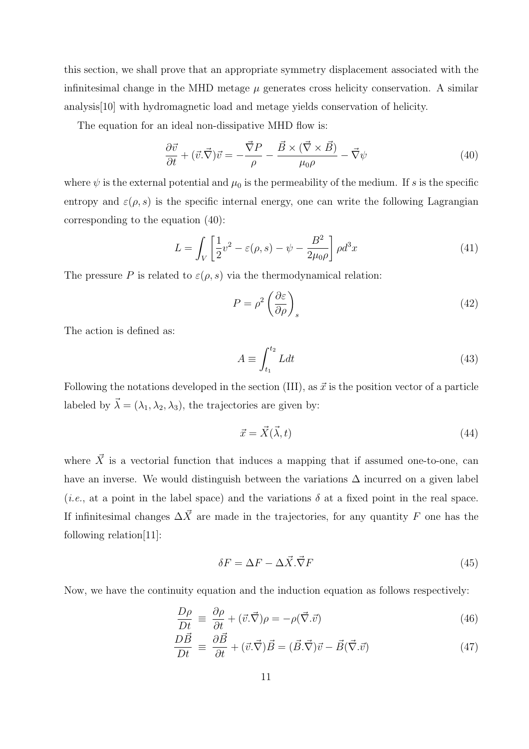this section, we shall prove that an appropriate symmetry displacement associated with the infinitesimal change in the MHD metage  $\mu$  generates cross helicity conservation. A similar analysis[10] with hydromagnetic load and metage yields conservation of helicity.

The equation for an ideal non-dissipative MHD flow is:

$$
\frac{\partial \vec{v}}{\partial t} + (\vec{v} \cdot \vec{\nabla}) \vec{v} = -\frac{\vec{\nabla} P}{\rho} - \frac{\vec{B} \times (\vec{\nabla} \times \vec{B})}{\mu_0 \rho} - \vec{\nabla} \psi \tag{40}
$$

where  $\psi$  is the external potential and  $\mu_0$  is the permeability of the medium. If s is the specific entropy and  $\varepsilon(\rho,s)$  is the specific internal energy, one can write the following Lagrangian corresponding to the equation (40):

$$
L = \int_{V} \left[ \frac{1}{2} v^2 - \varepsilon(\rho, s) - \psi - \frac{B^2}{2\mu_0 \rho} \right] \rho d^3 x \tag{41}
$$

The pressure P is related to  $\varepsilon(\rho, s)$  via the thermodynamical relation:

$$
P = \rho^2 \left(\frac{\partial \varepsilon}{\partial \rho}\right)_s \tag{42}
$$

The action is defined as:

$$
A \equiv \int_{t_1}^{t_2} L dt \tag{43}
$$

Following the notations developed in the section (III), as  $\vec{x}$  is the position vector of a particle labeled by  $\vec{\lambda} = (\lambda_1, \lambda_2, \lambda_3)$ , the trajectories are given by:

$$
\vec{x} = \vec{X}(\vec{\lambda}, t) \tag{44}
$$

where  $\vec{X}$  is a vectorial function that induces a mapping that if assumed one-to-one, can have an inverse. We would distinguish between the variations  $\Delta$  incurred on a given label (*i.e.*, at a point in the label space) and the variations  $\delta$  at a fixed point in the real space. If infinitesimal changes  $\Delta \vec{X}$  are made in the trajectories, for any quantity F one has the following relation[11]:

$$
\delta F = \Delta F - \Delta \vec{X} . \vec{\nabla} F \tag{45}
$$

Now, we have the continuity equation and the induction equation as follows respectively:

$$
\frac{D\rho}{Dt} \equiv \frac{\partial \rho}{\partial t} + (\vec{v}.\vec{\nabla})\rho = -\rho(\vec{\nabla}.\vec{v})
$$
\n(46)

$$
\frac{D\vec{B}}{Dt} \equiv \frac{\partial \vec{B}}{\partial t} + (\vec{v} \cdot \vec{\nabla}) \vec{B} = (\vec{B} \cdot \vec{\nabla}) \vec{v} - \vec{B}(\vec{\nabla} \cdot \vec{v}) \tag{47}
$$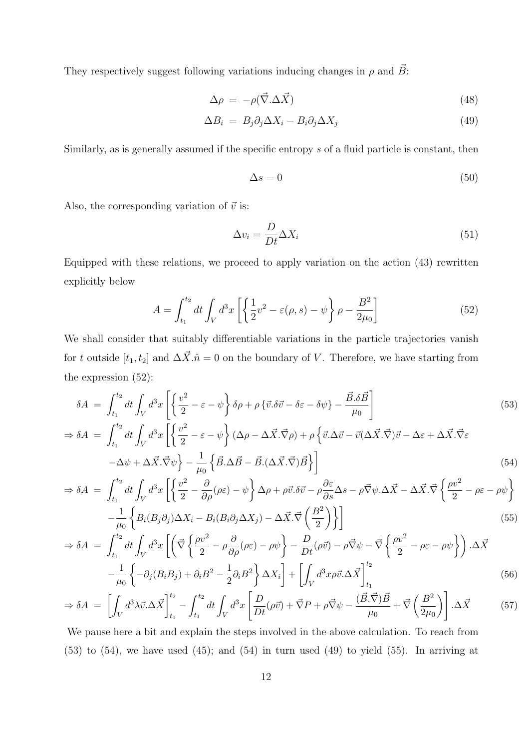They respectively suggest following variations inducing changes in  $\rho$  and  $\vec{B}$ :

$$
\Delta \rho = -\rho(\vec{\nabla}.\Delta \vec{X}) \tag{48}
$$

$$
\Delta B_i = B_j \partial_j \Delta X_i - B_i \partial_j \Delta X_j \tag{49}
$$

Similarly, as is generally assumed if the specific entropy s of a fluid particle is constant, then

$$
\Delta s = 0 \tag{50}
$$

Also, the corresponding variation of  $\vec{v}$  is:

$$
\Delta v_i = \frac{D}{Dt} \Delta X_i \tag{51}
$$

Equipped with these relations, we proceed to apply variation on the action (43) rewritten explicitly below

$$
A = \int_{t_1}^{t_2} dt \int_V d^3x \left[ \left\{ \frac{1}{2} v^2 - \varepsilon(\rho, s) - \psi \right\} \rho - \frac{B^2}{2\mu_0} \right] \tag{52}
$$

We shall consider that suitably differentiable variations in the particle trajectories vanish for t outside  $[t_1, t_2]$  and  $\Delta \vec{X} \cdot \hat{n} = 0$  on the boundary of V. Therefore, we have starting from the expression (52):

$$
\delta A = \int_{t_1}^{t_2} dt \int_V d^3x \left[ \left\{ \frac{v^2}{2} - \varepsilon - \psi \right\} \delta \rho + \rho \left\{ \vec{v} \cdot \delta \vec{v} - \delta \varepsilon - \delta \psi \right\} - \frac{\vec{B} \cdot \delta \vec{B}}{\mu_0} \right]
$$
\n
$$
\Rightarrow \delta A = \int_{t_1}^{t_2} dt \int_V d^3x \left[ \left\{ \frac{v^2}{2} - \varepsilon - \psi \right\} (\Delta \rho - \Delta \vec{X} \cdot \vec{\nabla} \rho) + \rho \left\{ \vec{v} \cdot \Delta \vec{v} - \vec{v} (\Delta \vec{X} \cdot \vec{\nabla}) \vec{v} - \Delta \varepsilon + \Delta \vec{X} \cdot \vec{\nabla} \varepsilon - \Delta \psi + \Delta \vec{X} \cdot \vec{\nabla} \psi \right\} - \frac{1}{\mu_0} \left\{ \vec{B} \cdot \Delta \vec{B} - \vec{B} \cdot (\Delta \vec{X} \cdot \vec{\nabla}) \vec{B} \right\} \right] \tag{54}
$$

$$
\Rightarrow \delta A = \int_{t_1}^{t_2} dt \int_V d^3x \left[ \left\{ \frac{v^2}{2} - \frac{\partial}{\partial \rho} (\rho \varepsilon) - \psi \right\} \Delta \rho + \rho \vec{v} . \delta \vec{v} - \rho \frac{\partial \varepsilon}{\partial s} \Delta s - \rho \vec{\nabla} \psi . \Delta \vec{X} - \Delta \vec{X} . \vec{\nabla} \left\{ \frac{\rho v^2}{2} - \rho \varepsilon - \rho \psi \right\} \right] - \frac{1}{\cdots} \left\{ B_i (B_j \partial_j) \Delta X_i - B_i (B_i \partial_j \Delta X_j) - \Delta \vec{X} . \vec{\nabla} \left( \frac{B^2}{2} \right) \right\}
$$
(55)

$$
\Rightarrow \delta A = \int_{t_1}^{t_2} dt \int_V d^3x \left[ \left( \vec{\nabla} \left\{ \frac{\rho v^2}{2} - \rho \frac{\partial}{\partial \rho} (\rho \epsilon) - \rho \psi \right\} - \frac{D}{Dt} (\rho \vec{v}) - \rho \vec{\nabla} \psi - \vec{\nabla} \left\{ \frac{\rho v^2}{2} - \rho \epsilon - \rho \psi \right\} \right) . \Delta \vec{X} \right]
$$

$$
- \frac{1}{\mu_0} \left\{ -\partial_j (B_i B_j) + \partial_i B^2 - \frac{1}{2} \partial_i B^2 \right\} \Delta X_i \right] + \left[ \int_V d^3x \rho \vec{v} . \Delta \vec{X} \right]_{t_1}^{t_2} \tag{56}
$$

$$
\Rightarrow \delta A = \left[ \int_V d^3 \lambda \vec{v} . \Delta \vec{X} \right]_{t_1}^{t_2} - \int_{t_1}^{t_2} dt \int_V d^3 x \left[ \frac{D}{Dt} (\rho \vec{v}) + \vec{\nabla} P + \rho \vec{\nabla} \psi - \frac{(\vec{B} . \vec{\nabla}) \vec{B}}{\mu_0} + \vec{\nabla} \left( \frac{B^2}{2\mu_0} \right) \right] . \Delta \vec{X} \tag{57}
$$

We pause here a bit and explain the steps involved in the above calculation. To reach from  $(53)$  to  $(54)$ , we have used  $(45)$ ; and  $(54)$  in turn used  $(49)$  to yield  $(55)$ . In arriving at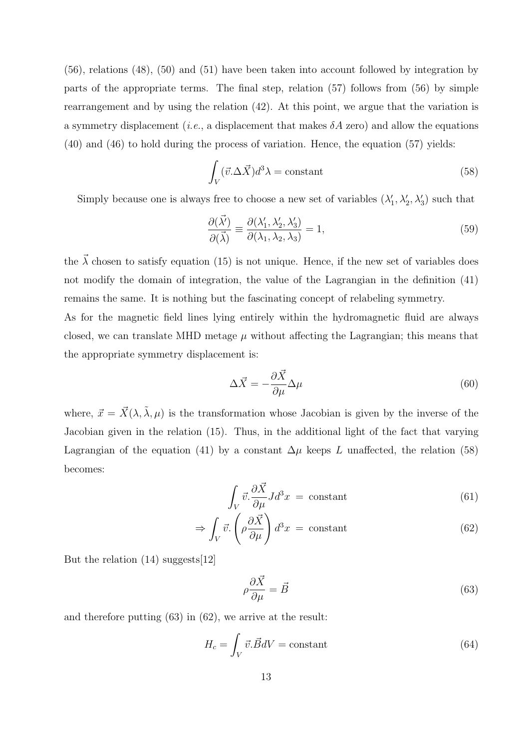(56), relations (48), (50) and (51) have been taken into account followed by integration by parts of the appropriate terms. The final step, relation (57) follows from (56) by simple rearrangement and by using the relation (42). At this point, we argue that the variation is a symmetry displacement (*i.e.*, a displacement that makes  $\delta A$  zero) and allow the equations (40) and (46) to hold during the process of variation. Hence, the equation (57) yields:

$$
\int_{V} (\vec{v}.\Delta \vec{X}) d^3 \lambda = \text{constant} \tag{58}
$$

Simply because one is always free to choose a new set of variables  $(\lambda'_1, \lambda'_2, \lambda'_3)$  such that

$$
\frac{\partial(\vec{\lambda'})}{\partial(\vec{\lambda})} \equiv \frac{\partial(\lambda'_1, \lambda'_2, \lambda'_3)}{\partial(\lambda_1, \lambda_2, \lambda_3)} = 1,\tag{59}
$$

the  $\vec{\lambda}$  chosen to satisfy equation (15) is not unique. Hence, if the new set of variables does not modify the domain of integration, the value of the Lagrangian in the definition (41) remains the same. It is nothing but the fascinating concept of relabeling symmetry.

As for the magnetic field lines lying entirely within the hydromagnetic fluid are always closed, we can translate MHD metage  $\mu$  without affecting the Lagrangian; this means that the appropriate symmetry displacement is:

$$
\Delta \vec{X} = -\frac{\partial \vec{X}}{\partial \mu} \Delta \mu \tag{60}
$$

where,  $\vec{x} = \vec{X}(\lambda, \tilde{\lambda}, \mu)$  is the transformation whose Jacobian is given by the inverse of the Jacobian given in the relation (15). Thus, in the additional light of the fact that varying Lagrangian of the equation (41) by a constant  $\Delta \mu$  keeps L unaffected, the relation (58) becomes:

$$
\int_{V} \vec{v} \cdot \frac{\partial \vec{X}}{\partial \mu} J d^{3}x = \text{constant}
$$
\n(61)

$$
\Rightarrow \int_{V} \vec{v} \cdot \left( \rho \frac{\partial \vec{X}}{\partial \mu} \right) d^{3}x = \text{constant}
$$
 (62)

But the relation (14) suggests[12]

$$
\rho \frac{\partial \vec{X}}{\partial \mu} = \vec{B} \tag{63}
$$

and therefore putting (63) in (62), we arrive at the result:

$$
H_c = \int_V \vec{v} \cdot \vec{B}dV = \text{constant} \tag{64}
$$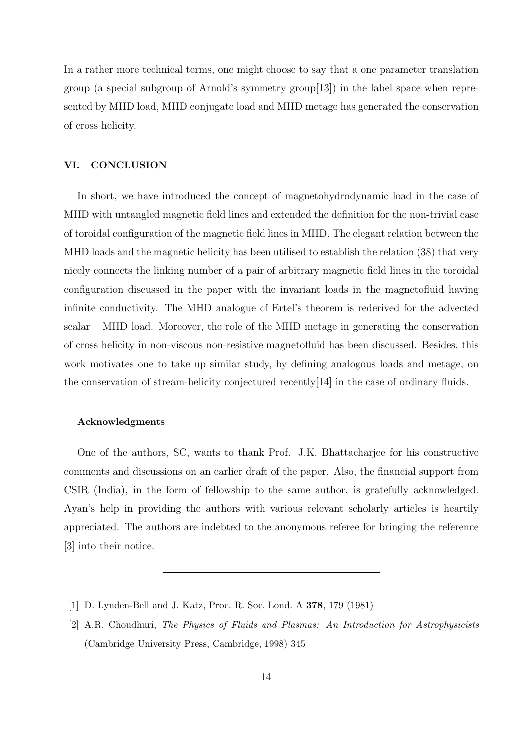In a rather more technical terms, one might choose to say that a one parameter translation group (a special subgroup of Arnold's symmetry group[13]) in the label space when represented by MHD load, MHD conjugate load and MHD metage has generated the conservation of cross helicity.

#### VI. CONCLUSION

In short, we have introduced the concept of magnetohydrodynamic load in the case of MHD with untangled magnetic field lines and extended the definition for the non-trivial case of toroidal configuration of the magnetic field lines in MHD. The elegant relation between the MHD loads and the magnetic helicity has been utilised to establish the relation (38) that very nicely connects the linking number of a pair of arbitrary magnetic field lines in the toroidal configuration discussed in the paper with the invariant loads in the magnetofluid having infinite conductivity. The MHD analogue of Ertel's theorem is rederived for the advected scalar – MHD load. Moreover, the role of the MHD metage in generating the conservation of cross helicity in non-viscous non-resistive magnetofluid has been discussed. Besides, this work motivates one to take up similar study, by defining analogous loads and metage, on the conservation of stream-helicity conjectured recently[14] in the case of ordinary fluids.

#### Acknowledgments

One of the authors, SC, wants to thank Prof. J.K. Bhattacharjee for his constructive comments and discussions on an earlier draft of the paper. Also, the financial support from CSIR (India), in the form of fellowship to the same author, is gratefully acknowledged. Ayan's help in providing the authors with various relevant scholarly articles is heartily appreciated. The authors are indebted to the anonymous referee for bringing the reference [3] into their notice.

- [1] D. Lynden-Bell and J. Katz, Proc. R. Soc. Lond. A 378, 179 (1981)
- [2] A.R. Choudhuri, The Physics of Fluids and Plasmas: An Introduction for Astrophysicists (Cambridge University Press, Cambridge, 1998) 345